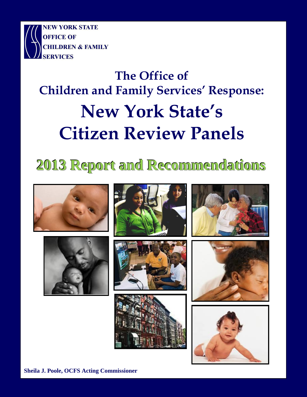

# **The Office of Children and Family Services' Response: New York State's Citizen Review Panels**

## **2013 Report and Recommendations**















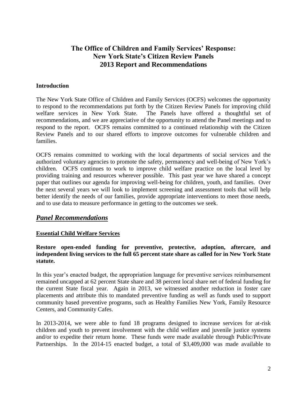## **The Office of Children and Family Services' Response: New York State's Citizen Review Panels 2013 Report and Recommendations**

#### **Introduction**

The New York State Office of Children and Family Services (OCFS) welcomes the opportunity to respond to the recommendations put forth by the Citizen Review Panels for improving child welfare services in New York State. The Panels have offered a thoughtful set of recommendations, and we are appreciative of the opportunity to attend the Panel meetings and to respond to the report. OCFS remains committed to a continued relationship with the Citizen Review Panels and to our shared efforts to improve outcomes for vulnerable children and families.

OCFS remains committed to working with the local departments of social services and the authorized voluntary agencies to promote the safety, permanency and well-being of New York's children. OCFS continues to work to improve child welfare practice on the local level by providing training and resources wherever possible. This past year we have shared a concept paper that outlines our agenda for improving well-being for children, youth, and families. Over the next several years we will look to implement screening and assessment tools that will help better identify the needs of our families, provide appropriate interventions to meet those needs, and to use data to measure performance in getting to the outcomes we seek.

## *Panel Recommendations*

## **Essential Child Welfare Services**

#### **Restore open-ended funding for preventive, protective, adoption, aftercare, and independent living services to the full 65 percent state share as called for in New York State statute.**

In this year's enacted budget, the appropriation language for preventive services reimbursement remained uncapped at 62 percent State share and 38 percent local share net of federal funding for the current State fiscal year. Again in 2013, we witnessed another reduction in foster care placements and attribute this to mandated preventive funding as well as funds used to support community based preventive programs, such as Healthy Families New York, Family Resource Centers, and Community Cafes.

In 2013-2014, we were able to fund 18 programs designed to increase services for at-risk children and youth to prevent involvement with the child welfare and juvenile justice systems and/or to expedite their return home. These funds were made available through Public/Private Partnerships. In the 2014-15 enacted budget, a total of \$3,409,000 was made available to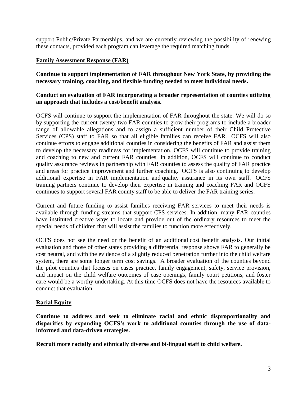support Public/Private Partnerships, and we are currently reviewing the possibility of renewing these contacts, provided each program can leverage the required matching funds.

## **Family Assessment Response (FAR)**

**Continue to support implementation of FAR throughout New York State, by providing the necessary training, coaching, and flexible funding needed to meet individual needs.**

#### **Conduct an evaluation of FAR incorporating a broader representation of counties utilizing an approach that includes a cost/benefit analysis.**

OCFS will continue to support the implementation of FAR throughout the state. We will do so by supporting the current twenty-two FAR counties to grow their programs to include a broader range of allowable allegations and to assign a sufficient number of their Child Protective Services (CPS) staff to FAR so that all eligible families can receive FAR. OCFS will also continue efforts to engage additional counties in considering the benefits of FAR and assist them to develop the necessary readiness for implementation. OCFS will continue to provide training and coaching to new and current FAR counties. In addition, OCFS will continue to conduct quality assurance reviews in partnership with FAR counties to assess the quality of FAR practice and areas for practice improvement and further coaching. OCFS is also continuing to develop additional expertise in FAR implementation and quality assurance in its own staff. OCFS training partners continue to develop their expertise in training and coaching FAR and OCFS continues to support several FAR county staff to be able to deliver the FAR training series.

Current and future funding to assist families receiving FAR services to meet their needs is available through funding streams that support CPS services. In addition, many FAR counties have instituted creative ways to locate and provide out of the ordinary resources to meet the special needs of children that will assist the families to function more effectively.

OCFS does not see the need or the benefit of an additional cost benefit analysis. Our initial evaluation and those of other states providing a differential response shows FAR to generally be cost neutral, and with the evidence of a slightly reduced penetration further into the child welfare system, there are some longer term cost savings. A broader evaluation of the counties beyond the pilot counties that focuses on cases practice, family engagement, safety, service provision, and impact on the child welfare outcomes of case openings, family court petitions, and foster care would be a worthy undertaking. At this time OCFS does not have the resources available to conduct that evaluation.

## **Racial Equity**

**Continue to address and seek to eliminate racial and ethnic disproportionality and disparities by expanding OCFS's work to additional counties through the use of datainformed and data-driven strategies.**

**Recruit more racially and ethnically diverse and bi-lingual staff to child welfare.**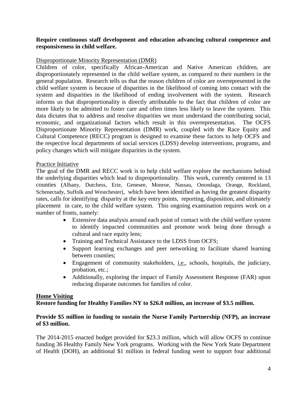#### **Require continuous staff development and education advancing cultural competence and responsiveness in child welfare.**

#### Disproportionate Minority Representation (DMR)

Children of color, specifically African-American and Native American children, are disproportionately represented in the child welfare system, as compared to their numbers in the general population. Research tells us that the reason children of color are overrepresented in the child welfare system is because of disparities in the likelihood of coming into contact with the system and disparities in the likelihood of ending involvement with the system. Research informs us that disproportionality is directly attributable to the fact that children of color are more likely to be admitted to foster care and often times less likely to leave the system. This data dictates that to address and resolve disparities we must understand the contributing social, economic, and organizational factors which result in this overrepresentation. The OCFS Disproportionate Minority Representation (DMR) work, coupled with the Race Equity and Cultural Competence (RECC) program is designed to examine these factors to help OCFS and the respective local departments of social services (LDSS) develop interventions, programs, and policy changes which will mitigate disparities in the system.

#### Practice Initiative

The goal of the DMR and RECC work is to help child welfare explore the mechanisms behind the underlying disparities which lead to disproportionality. This work, currently centered in 13 counties (Albany, Dutchess, Erie, Genesee, Monroe, Nassau, Onondaga, Orange, Rockland, Schenectady, Suffolk and Westchester), which have been identified as having the greatest disparity rates, calls for identifying disparity at the key entry points, reporting, disposition, and ultimately placement in care, to the child welfare system. This ongoing examination requires work on a number of fronts, namely:

- Extensive data analysis around each point of contact with the child welfare system to identify impacted communities and promote work being done through a cultural and race equity lens;
- Training and Technical Assistance to the LDSS from OCFS;
- Support learning exchanges and peer networking to facilitate shared learning between counties;
- Engagement of community stakeholders, i.e., schools, hospitals, the judiciary, probation, etc.;
- Additionally, exploring the impact of Family Assessment Response (FAR) upon reducing disparate outcomes for families of color.

#### **Home Visiting Restore funding for Healthy Families NY to \$26.8 million, an increase of \$3.5 million.**

#### **Provide \$5 million in funding to sustain the Nurse Family Partnership (NFP), an increase of \$3 million.**

The 2014-2015 enacted budget provided for \$23.3 million, which will allow OCFS to continue funding 36 Healthy Family New York programs. Working with the New York State Department of Health (DOH), an additional \$1 million in federal funding went to support four additional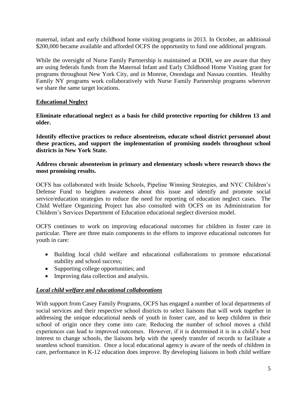maternal, infant and early childhood home visiting programs in 2013. In October, an additional \$200,000 became available and afforded OCFS the opportunity to fund one additional program.

While the oversight of Nurse Family Partnership is maintained at DOH, we are aware that they are using federals funds from the Maternal Infant and Early Childhood Home Visiting grant for programs throughout New York City, and in Monroe, Onondaga and Nassau counties. Healthy Family NY programs work collaboratively with Nurse Family Partnership programs wherever we share the same target locations.

#### **Educational Neglect**

**Eliminate educational neglect as a basis for child protective reporting for children 13 and older.**

**Identify effective practices to reduce absenteeism, educate school district personnel about these practices, and support the implementation of promising models throughout school districts in New York State.** 

**Address chronic absenteeism in primary and elementary schools where research shows the most promising results.** 

OCFS has collaborated with Inside Schools, Pipeline Winning Strategies, and NYC Children's Defense Fund to heighten awareness about this issue and identify and promote social service/education strategies to reduce the need for reporting of education neglect cases. The Child Welfare Organizing Project has also consulted with OCFS on its Administration for Children's Services Department of Education educational neglect diversion model.

OCFS continues to work on improving educational outcomes for children in foster care in particular. There are three main components to the efforts to improve educational outcomes for youth in care:

- Building local child welfare and educational collaborations to promote educational stability and school success;
- Supporting college opportunities; and
- Improving data collection and analysis.

## *Local child welfare and educational collaborations*

With support from Casey Family Programs, OCFS has engaged a number of local departments of social services and their respective school districts to select liaisons that will work together in addressing the unique educational needs of youth in foster care, and to keep children in their school of origin once they come into care. Reducing the number of school moves a child experiences can lead to improved outcomes. However, if it is determined it is in a child's best interest to change schools, the liaisons help with the speedy transfer of records to facilitate a seamless school transition. Once a local educational agency is aware of the needs of children in care, performance in K-12 education does improve. By developing liaisons in both child welfare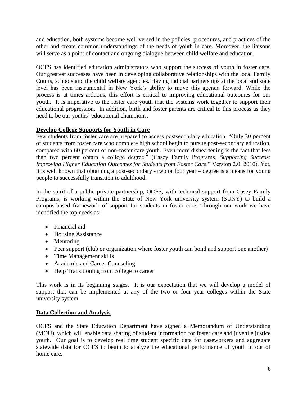and education, both systems become well versed in the policies, procedures, and practices of the other and create common understandings of the needs of youth in care. Moreover, the liaisons will serve as a point of contact and ongoing dialogue between child welfare and education.

OCFS has identified education administrators who support the success of youth in foster care. Our greatest successes have been in developing collaborative relationships with the local Family Courts, schools and the child welfare agencies. Having judicial partnerships at the local and state level has been instrumental in New York's ability to move this agenda forward. While the process is at times arduous, this effort is critical to improving educational outcomes for our youth. It is imperative to the foster care youth that the systems work together to support their educational progression. In addition, birth and foster parents are critical to this process as they need to be our youths' educational champions.

## **Develop College Supports for Youth in Care**

Few students from foster care are prepared to access postsecondary education. "Only 20 percent of students from foster care who complete high school begin to pursue post-secondary education, compared with 60 percent of non-foster care youth. Even more disheartening is the fact that less than two percent obtain a college degree." (Casey Family Programs, *Supporting Success: Improving Higher Education Outcomes for Students from Foster Care*," Version 2.0, 2010). Yet, it is well known that obtaining a post-secondary - two or four year – degree is a means for young people to successfully transition to adulthood.

In the spirit of a public private partnership, OCFS, with technical support from Casey Family Programs, is working within the State of New York university system (SUNY) to build a campus-based framework of support for students in foster care. Through our work we have identified the top needs as:

- Financial aid
- Housing Assistance
- Mentoring
- Peer support (club or organization where foster youth can bond and support one another)
- Time Management skills
- Academic and Career Counseling
- Help Transitioning from college to career

This work is in its beginning stages. It is our expectation that we will develop a model of support that can be implemented at any of the two or four year colleges within the State university system.

## **Data Collection and Analysis**

OCFS and the State Education Department have signed a Memorandum of Understanding (MOU), which will enable data sharing of student information for foster care and juvenile justice youth. Our goal is to develop real time student specific data for caseworkers and aggregate statewide data for OCFS to begin to analyze the educational performance of youth in out of home care.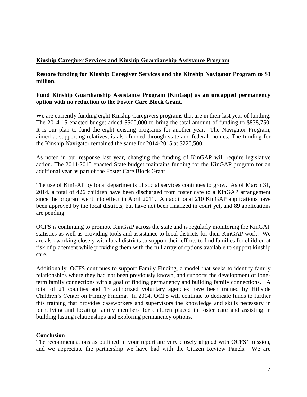## **Kinship Caregiver Services and Kinship Guardianship Assistance Program**

**Restore funding for Kinship Caregiver Services and the Kinship Navigator Program to \$3 million.**

#### **Fund Kinship Guardianship Assistance Program (KinGap) as an uncapped permanency option with no reduction to the Foster Care Block Grant.**

We are currently funding eight Kinship Caregivers programs that are in their last year of funding. The 2014-15 enacted budget added \$500,000 to bring the total amount of funding to \$838,750. It is our plan to fund the eight existing programs for another year. The Navigator Program, aimed at supporting relatives, is also funded through state and federal monies. The funding for the Kinship Navigator remained the same for 2014-2015 at \$220,500.

As noted in our response last year, changing the funding of KinGAP will require legislative action. The 2014-2015 enacted State budget maintains funding for the KinGAP program for an additional year as part of the Foster Care Block Grant.

The use of KinGAP by local departments of social services continues to grow. As of March 31, 2014, a total of 426 children have been discharged from foster care to a KinGAP arrangement since the program went into effect in April 2011. An additional 210 KinGAP applications have been approved by the local districts, but have not been finalized in court yet, and 89 applications are pending.

OCFS is continuing to promote KinGAP across the state and is regularly monitoring the KinGAP statistics as well as providing tools and assistance to local districts for their KinGAP work. We are also working closely with local districts to support their efforts to find families for children at risk of placement while providing them with the full array of options available to support kinship care.

Additionally, OCFS continues to support Family Finding, a model that seeks to identify family relationships where they had not been previously known, and supports the development of longterm family connections with a goal of finding permanency and building family connections. A total of 21 counties and 13 authorized voluntary agencies have been trained by Hillside Children's Center on Family Finding. In 2014, OCFS will continue to dedicate funds to further this training that provides caseworkers and supervisors the knowledge and skills necessary in identifying and locating family members for children placed in foster care and assisting in building lasting relationships and exploring permanency options.

## **Conclusion**

The recommendations as outlined in your report are very closely aligned with OCFS' mission, and we appreciate the partnership we have had with the Citizen Review Panels. We are